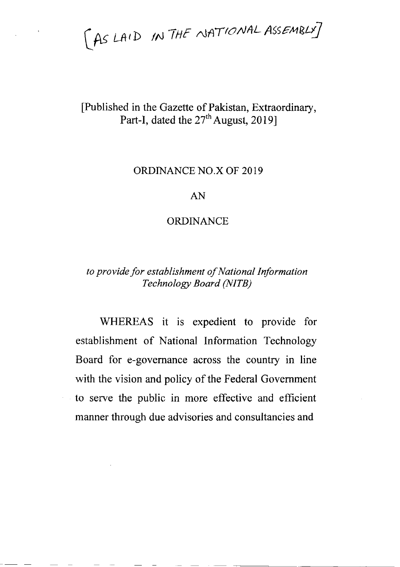AS LAID IN THE NATIONAL ASSEMBLY]

# [Published in the Gazette of Pakistan, Extraordinary, Part-I, dated the 27<sup>th</sup> August, 2019]

# ORDINANCE NO.X OF 2019

## AN

## ORDINANCE

# to provide for establishment of National Information Technology Board (NITB)

WHEREAS it is expedient to provide for establishment of National Information Technology Board for e-govemance across the country in line with the vision and policy of the Federal Government to serve the public in more effective and efficient manner through due advisories and consultancies and

 $\epsilon_{\rm{max}}$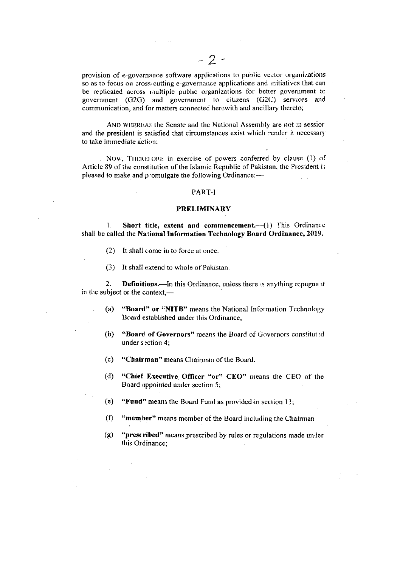provision of e-governance software applications to public vector organizations so as to focus on cross-cutting e-governance applications and mitiatives that can be replicated across multiple public organizations for better government to government (G2G) and government to citizens (G2C) services and communication, and for matters connected herewith and ancillary thereto;

AND WHEREAS the Senate and the National Assembly are not in session and the president is satisfied that circumstances exist which render it necessary to take immediate action:

NOW, THEREFORE in exercise of powers conferred by clause (1) of Article 89 of the constitution of the Islamic Republic of Pakistan, the President is pleased to make and promulgate the following Ordinance:-

#### PART-I

#### **PRELIMINARY**

Short title, extent and commencement.--(1) This Ordinance  $\mathbf{1}$ . shall be called the National Information Technology Board Ordinance, 2019.

- (2) It shall come in to force at once.
- (3) It shall extend to whole of Pakistan.

**Definitions.**—In this Ordinance, unless there is anything repugna it 2. in the subject or the context,-

- "Board" or "NITB" means the National Information Technology  $(a)$ Board established under this Ordinance;
- $(b)$ "Board of Governors" means the Board of Governors constituted under section 4;
- $(c)$ "Chairman" means Chairman of the Board.
- $(d)$ "Chief Executive, Officer "or" CEO" means the CEO of the Board appointed under section 5;
- $(e)$ "Fund" means the Board Fund as provided in section 13;
- $(f)$ "member" means member of the Board including the Chairman
- $(g)$ "prescribed" means prescribed by rules or regulations made un ler this Ordinance: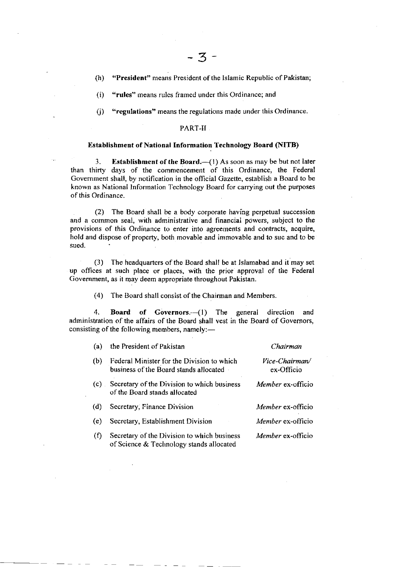(h) "President" means President of the Islamic Republic of Pakistan;

(i) "rules" means rules framed under this Ordinance; and

0) "regulations" means the regulations made under this Ordinance.

### PART-II.

#### Establishment of National Information Technology Board (NITB)

3. Establishment of the Board. $-(1)$  As soon as may be but not later than thirty days of the commencement of this Ordinance, the Federal Government shall, by notification in the official Gazette, establish a Board to be known as National lnformation Technology Board for carrying out the purposes of this Ordinance.

. (Z) The Board shall be a body corporate having perpetual succession and a common seal, with administrative and financial powers, subject to the provisions of this Ordinance to enter into agreements and contracts, acquire, hold and dispose of property, both movable and immovable and to suc and to be sued.

(3) The headquarters of the Board shall be at Islamabad and it may set up offices at such place or places, with the prior approval of the Federal Government, as it may deem appropriate throughout Pakistan.

(4) The Board shall consist of the Chairman and Members.

4. Board of Governors.-(1) The general direction and administration of the affairs of the Board shall vest in the Board of Governors, consisting of the following members, namely: $-$ 

| (a)      | the President of Pakistan                                                               | Chairman                     |
|----------|-----------------------------------------------------------------------------------------|------------------------------|
| (b)      | Federal Minister for the Division to which<br>business of the Board stands allocated    | Vice-Chairman/<br>ex-Officio |
| $(c)$ .  | Secretary of the Division to which business<br>of the Board stands allocated            | Member ex-officio            |
| (d)      | Secretary, Finance Division                                                             | Member ex-officio            |
| (e)      | Secretary, Establishment Division                                                       | <i>Member</i> ex-officio     |
| $\Omega$ | Secretary of the Division to which business<br>of Science & Technology stands allocated | <i>Member</i> ex-officio     |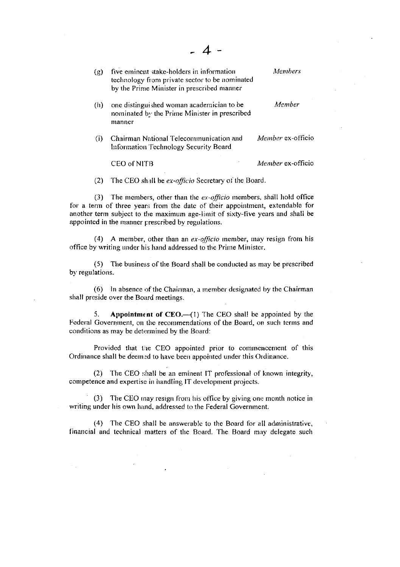**Members** (g) five eminent stake-holders in information technology from private sector to be nominated by the Prime Minister in prescribed manner Member one distinguished woman academician to be  $(h)$ nominated by the Prime Minister in prescribed manner Chairman National Telecommunication and Member ex-officio  $(i)$ Information Technology Security Board CEO of NITB Member ex-officio

(2) The CEO shall be ex-officio Secretary of the Board.

(3) The members, other than the ex-officio members, shall hold office for a term of three years from the date of their appointment, extendable for another term subject to the maximum age-limit of sixty-five years and shall be appointed in the manner prescribed by regulations.

(4) A member, other than an ex-officio member, may resign from his office by writing under his hand addressed to the Prime Minister.

(5) The business of the Board shall be conducted as may be prescribed by regulations.

(6) In absence of the Chairman, a member designated by the Chairman shall preside over the Board meetings.

Appointment of  $CEO$ .  $-$ (1) The CEO shall be appointed by the 5. Federal Government, on the recommendations of the Board, on such terms and conditions as may be determined by the Board:

Provided that the CEO appointed prior to commencement of this Ordinance shall be deemed to have been appointed under this Ordinance.

(2) The CEO shall be an eminent IT professional of known integrity, competence and expertise in handling IT development projects.

(3) The CEO may resign from his office by giving one month notice in writing under his own hand, addressed to the Federal Government.

(4) The CEO shall be answerable to the Board for all administrative, financial and technical matters of the Board. The Board may delegate such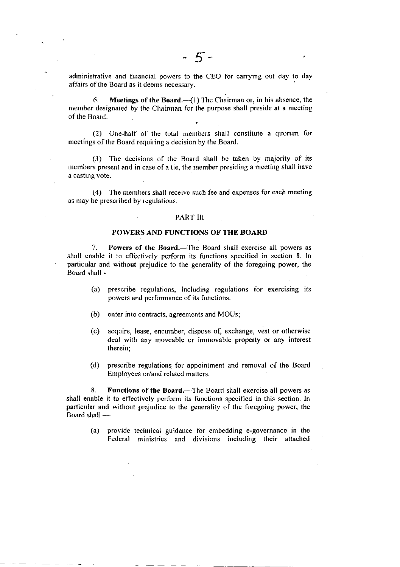administrative and financial powers to the CEO for carrying out day to day afTairs of the Board as it deems necessary.

6. Meetings of the Board. $-$ (1) The Chairman or, in his absence, the member designated by the Chairman for the purpose shall preside at a meeting of the Board.

(2) One-half of the total members shall constitute a quorum for meetings of the Board requiring a decision by the Board.

(3) The decisions of the Board shall be taken by majority of its members present and in case of a tie, the member presiding a meeting shall have a casting vote.

(4) 'Ihe menrbers shall receive such fee and expenses for each meeting as may be prescribed by regulations.

#### PART-III

#### POWERS AND FUNCTIONS OF TIIE BOARI)

7. Powers of the Board.-The Board shall exercise all powers as shall enable it to effectively perform its functions specified in section 8. In particular and without prejudice to the generality of the foregoing power, the Board shall -

- $(a)$  prescribe regulations, including regulations for exercising its powers and performance of its functions.
- $(b)$  enter into contracts, agreements and MOUs;
- (c) acquire, lease, encumber, dispose of, exchange, vest or othcrwise deal with any moveable or immovable property or any interest therein;
- (d) prescribe regulations for appointment and removal of the Board Employees or/and related matters.

8. Functions of the Board.—The Board shall exercise all powers as shall enable it to effectively perform its functions specified in this section. In particular and without prejudice to the generality of the foregoing power, the Board shall -

(a) provide technical guidance for embedding e-governancc in the Federal ministries and divisions including their attached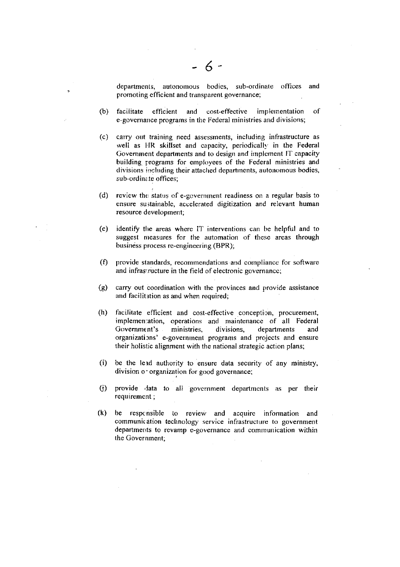departments, autonomous bodies, sub-ordinate offices and promoting efficient and transparent governance;

- (b) facilitate efficient and cost-effective implementation of e-governance programs in the Federal ministries and divisions;
- (c) carry out training need assessments, including infrastructure as well as HR skillset and capacity, periodically in the Federal Government departments and to design and implement IT capacity building programs for employees of the Federal ministries and divisions including their attached departments, autonomous bodies, sub-ordinate offices;
- $(d)$ review the status of e-government readiness on a regular basis to ensure sustainable, accelerated digitization and relevant human resource development;
- $(e)$ identify the areas where IT interventions can be helpful and to suggest measures for the automation of these areas through business process re-engineering (BPR);
- $(f)$ provide standards, recommendations and compliance for software and infrastructure in the field of electronic governance;
- carry out coordination with the provinces and provide assistance  $(g)$ and facilitation as and when required;
- facilitate efficient and cost-effective conception, procurement,  $(h)$ implementation, operations and maintenance of all Federal Government's ministries. divisions. departments and organizations' e-government programs and projects and ensure their holistic alignment with the national strategic action plans;
- $(i)$ be the lead authority to ensure data security of any ministry, division or organization for good governance;
- $(i)$ provide data to all government departments as per their requirement;
- $(k)$ be responsible to review and acquire information and communication technology service infrastructure to government departments to revamp e-governance and communication within the Government: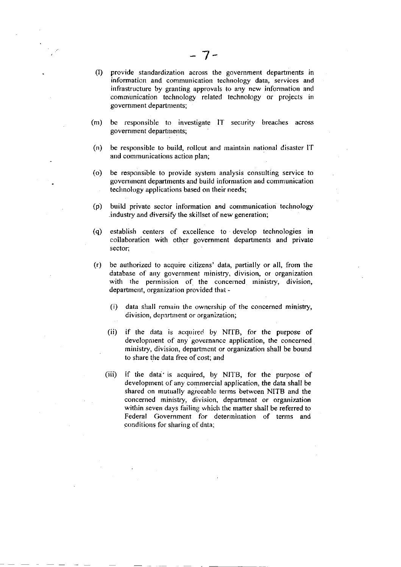- (l) provide standardization across the government departrnents in information and communication technology data, services and infrastructure by granting approvals to any new inforrnation and comraunication technology related technology or projects in government departments;
- (m) be responsible to investigate lT security breaches across government departments;
- (n) be responsible to build, rollout and maintain nationai disaster [T and communications action plan;
- (o) be responsible to provide system analysis consulting service to government departments and build information and communication technology applications based on their needs;
- (p) build private sector information and communication technology industry and diversify the skillset of new generation;
- (q) establish centcrs of excellence to develop technologies in collaboration with other government departrnents and private sector;
- G) be authorized to acquire citizens' data, partially or all, from the database of any government ministry, division, or organization with the permission of the concerned ministry, division, department, organization provided that -
	- (i) data shall remain the ownership of the concerned ministry, division, department or organization;
	- (ii) if the data is acquired by NITB, for the purpose of development of any governance application, the concerned ministry, division, department or organization shall be bound to share the data free of cost; and
	- (iii) if the data' is acquired, by NITB, for the purpose of development of any commercial application, the data shall be shared on mutually agreeable terms between NITB and the concerned ministry, division, department or organization within seven days failing which the matter shall be referred to Federal Government for determination of terms and conditions for sharing of data;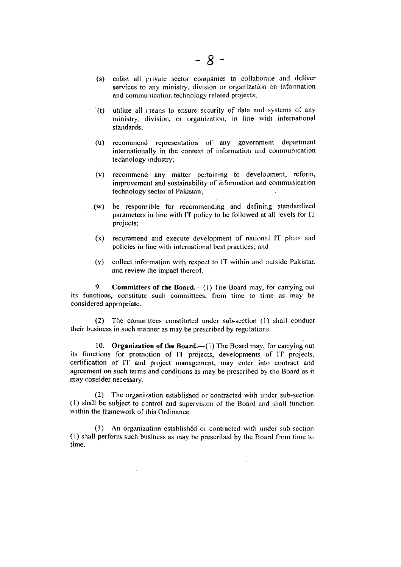- (s) enlist all private sector companies to collaborate and deliver services to any ministry, division or organization on information and communication technology related projects;
- $(t)$  utilize all rieans to ensure security of data and systems of any ministry, division, or organization, in line with international standards;
- (u) recommend representation of any government department internationally in the context of information and communication technology industry;
- (v) recommend any matter pertaining to development, reform, improvement and sustainability of information and communication technology sector of Pakistan;
- (w) be responsible for recommending and defining standardized parameters in line with IT policy to be followed at all levels for IT projects;
- $(x)$  recommend and execute development of national IT plans and policies in line with international best practices; and
- $(y)$  collect information with respect to IT within and outside Pakistan and review the impact thereof.

9. **Committees of the Board.** $-(-1)$  The Board may, for carrying out its functions, constitute such committees, from time to time as may be considered appropriate.

(2) The committees constituted under sub-scction (l) shall conduct their business in such manner as may be prescribed by regulations.

10. Organization of the Board. $-(1)$  The Board may, for carrying out its functions for promotion of IT projects, developments of IT projects, certification of IT and project management, may enter inro contract and agreement on such terms and conditions as may be prescribed by the Board as it may consider necessary.

(2) The organization established or contracted with under sub-section  $(1)$  shall be subject to control and supervision of the Board and shall function within the framework of this Ordinance.

(3) An organization established or contracted with under sub-section  $(1)$  shall perform such business as may be prescribed by the Board from time to time.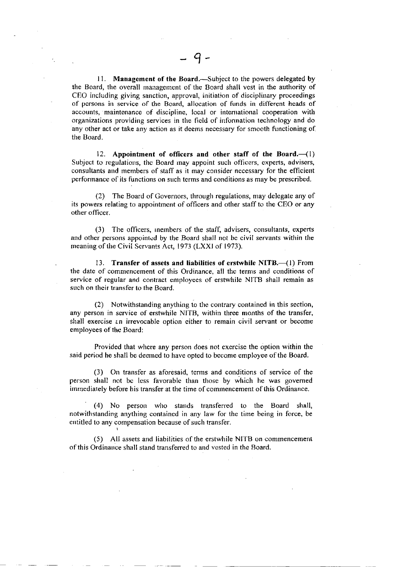11. Management of the Board.—Subject to the powers delegated by the Board, the overall management of the Board shall vest in the authority of CEO including giving sanction, approval, initiation of disciplinary proceedings of pcrsons in service of the Board, allocation of funds in different heads of accounts, maintenance of discipline, local or international cooperation with organizations providing services in the field of inforrnation technology and do any other act or take any action as it deems necessary for smooth functioning of the Board.

12. Appointment of officers and other staff of the Board. $-({\bf l})$ Subject to regulations, the Board may appoint such officers, experts, advisers, consultants and members of staff as it may consider necessary for the efficient performance of its functions on such terms and conditions as may be prescribed.

(2) The Board of Governors, through regulations, may delegate any of its powers relating to appointment of officers and other staff to the CEO or any other officer.

(3) The officers, inembers of the staff, advisers, consultants, experts and other persons appointed by the Board shall not be civil servants within the meaning of the Civil Servants Act, 1973 (LXXI of 1973).

13. Transfer of assets and liabilities of erstwhile NITB. (1) From the date of commencement of this Ordinance, all the terms and conditions of service of regular and contract ernployees of erstwhile NITB shall remain as such on their transfer to the Board.

(2) Notwithstanding anything to the corltrary conlaincd in this section, any person in service of erstwhile NITB, within three months of the transfer, shall exercise an irrevocable option cither to remain civil servant or become employces of thc Board:

Provided that where any person does not exercise the option within the said period he shall be deerned to have opted to bccome employee ofthe Board.

(3) On transfer as aforesaid, terms and couditions of service of the person shall not bc less favorable than those by which he was govemed immediately before his transfer at the time of commencement of this Ordinance.

(4) No person who stands transferred to the Board shall, notwithstanding anything contained in any law for the tirne being in force, be entitled to any compensation because of such transfer.

(5) All assets and liabilities of the erstwhile NITB on commoncement of this Ordinance shall stand transferred to and vcsted in the Board.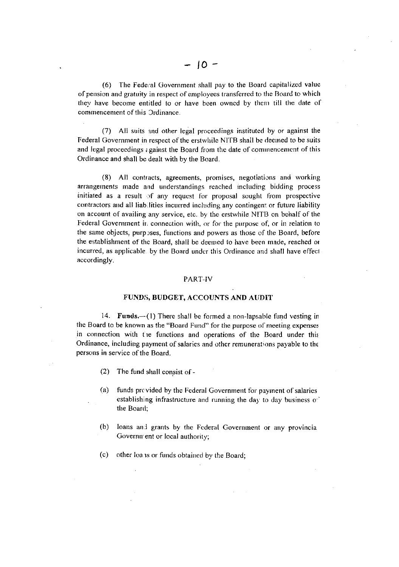(6) The Federal Government shall pay to the Board capitalized value of pension and gratuity in respect of employees transferred to the Board to which they have become entitled to or have been owned by them till the date of commencement of this Ordinance.

(7) All suits and other legal proceedings instituted by or against the Federal Government in respect of the erstwhile NITB shall be deemed to be suits and legal proceedings against the Board from the date of commencement of this Ordinance and shall be dealt with by the Board.

(8) All contracts, agreements, promises, negotiations and working arrangements made and understandings reached including bidding process initiated as a result of any request for proposal sought from prospective contractors and all liabilities incurred including any contingent or future liability on account of availing any service, etc. by the erstwhile NITB on behalf of the Federal Government in connection with, or for the purpose of, or in relation to the same objects, purposes, functions and powers as those of the Board, before the establishment of the Board, shall be deemed to have been made, reached or incurred, as applicable, by the Board under this Ordinance and shall have effect accordingly.

#### PART-IV

## FUNDS, BUDGET, ACCOUNTS AND AUDIT

14. Funds.--(1) There shall be formed a non-lapsable fund vesting in the Board to be known as the "Board Fund" for the purpose of meeting expenses in connection with the functions and operations of the Board under this Ordinance, including payment of salaries and other remunerations payable to the persons in service of the Board.

- (2) The fund shall consist of -
- $(a)$ funds previded by the Federal Government for payment of salaries establishing infrastructure and running the day to day business of the Board;
- $(b)$ loans and grants by the Federal Government or any provincia Government or local authority;
- (c) other loans or funds obtained by the Board;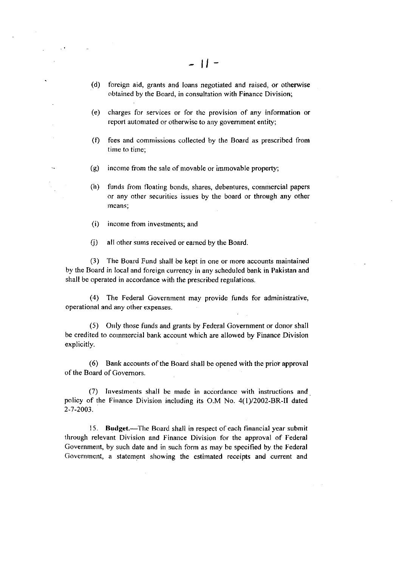- (d) foreign aid, grants and loans negotiated and raised, or otherwise obtained by the Board, in consultation with Finance Division;
- (e) charges for services or for thc provision of any information or report automated or otherwise to any government entity;
- (0 fees and cornmissions collected by the Board as prescribed from time to time:
- $(g)$  income from the sale of movable or immovable property;
- (h) funds from floating bonds, shares, debentures, commercial papers or any other securities issues by the board or through any other means;
- (i) income from investments; and
- (j) all other sums received or earned by the Board.

(3) The Board Fund shall be kept in one or more accounts maintained by thc Board in local and foreign currency in any scheduled bank in Pakistan and shall be operated in accordance with the prescribed regulations.

(4) The Federal Govcrnment may provide funds for administrative, operationaI and any other expenses.

(5) Only those funds and grants by Federal Government or donor shall be credited to commercial bank account which are allowed by Finance Division explicitly.

 $(6)$  Bank accounts of the Board shall be opened with the prior approval of the Board of Govemors.

(7) Investments shall be made in accordance with instructions and policy of the Finance Division including its O.M No. 4(1)/2002-BR-II dated 2-7 -2003.

15. Budget.—The Board shall in respect of each financial year submit through relevant Division and Finance Division for the approval of Fcderal Government, by such date and in such form as may be specified by the Federal Government, a statement showing the estimated receipts and current and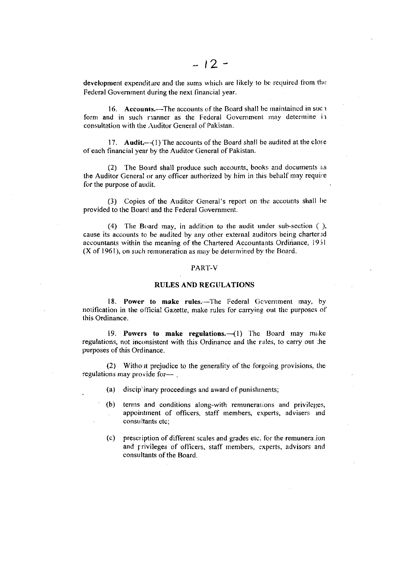development expenditure and the sums which are likely to be required from the Federal Government during the next financial year.

16. Accounts.—The accounts of the Board shall be maintained in suc 1 form and in such rianner as the Federal Government may determine in consultation with the Auditor General of Pakistan.

17. Audit.-(1) The accounts of the Board shall be audited at the close of each financial year by the Auditor General of Pakistan.

(2) The Board shall produce such accounts, books and documents as the Auditor General or any officer authorized by him in this behalf may require for the purpose of audit.

(3) Copies of the Auditor General's report on the accounts shall be provided to the Board and the Federal Government.

(4) The Board may, in addition to the audit under sub-section  $( )$ , cause its accounts to be audited by any other external auditors being chartered accountants within the meaning of the Chartered Accountants Ordinance, 1951  $(X$  of 1961), on such remuneration as may be determined by the Board.

#### PART-V

#### **RULES AND REGULATIONS**

18. Power to make rules.—The Federal Government may, by notification in the official Gazette, make rules for carrying out the purposes of this Ordinance.

19. Powers to make regulations.-- (1) The Board may make regulations, not inconsistent with this Ordinance and the rules, to carry out the purposes of this Ordinance.

(2) Without prejudice to the generality of the forgoing provisions, the regulations may provide for-

- (a) disciplinary proceedings and award of punishments;
- $(b)$ terms and conditions along-with remunerations and privileges, appointment of officers, staff members, experts, advisers and consultants etc:
- prescription of different scales and grades etc. for the remuneration  $(c)$ and privileges of officers, staff members, experts, advisors and consultants of the Board.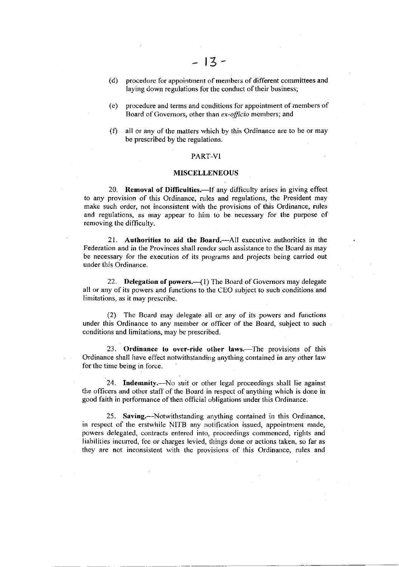- (d) procedure for appointment of members of different committees and laying down regulations for the conduct of their business;
- (e) procedure and terms and conditions for appointment of members of Board of Governors, other than ex-officio members; and
- (f) all or any of the matters which by this Ordinance are to be or may be prescribed by the regulations.

#### PART.VI

#### MISCELLENEOUS

20. Removal of Difficulties.-If any difficulty arises in giving effect to any provision of this Ordinance, rules and regulations, the President may make such order, not inconsistent with the provisions of this Ordinance, rules and regulations, as may appear to him 1o be necessary for the purpose of removing the difficulty.

21. Authorities to aid the Board.—All executive authorities in the Federation and in the Provinces shall render such assistance to thc Board as may be necessary for the execution of its programs and projects being carried out under this Ordinance.

22. Delegation of powers. $-$ (1) The Board of Governors may delegate all or any of its powers and functions to the CEO subjcct to such conditions and limitations, as it may prescribe.

(2) The Board may delegate all or any of its powers and functions under this Ordinauce to any nrernber or officer of the Board, subject to such conditions and limitations, may be prescribed.

23. Ordinance to over-ride other laws.—The provisions of this Ordinance shall have effect notwithstanding anything contained in any other law for the time being in force.

24. Indemnity.-No suit or other legal proceedings shall lie against the officers and other staff of the Board in respect of anything which is done in good faith in performance of then official obligations under this Ordinance.

25. Saving.—Notwithstanding anything contained in this Ordinance, in respect of the erstwhile NITB any notification issued, appointment made, powers delegated, contracts entered into, proceedings commenced, rights and liabilities incurred, fee or charges levied, things done or actions taken, so far as they are not inconsistent with the provisions of this Ordinance, rules and